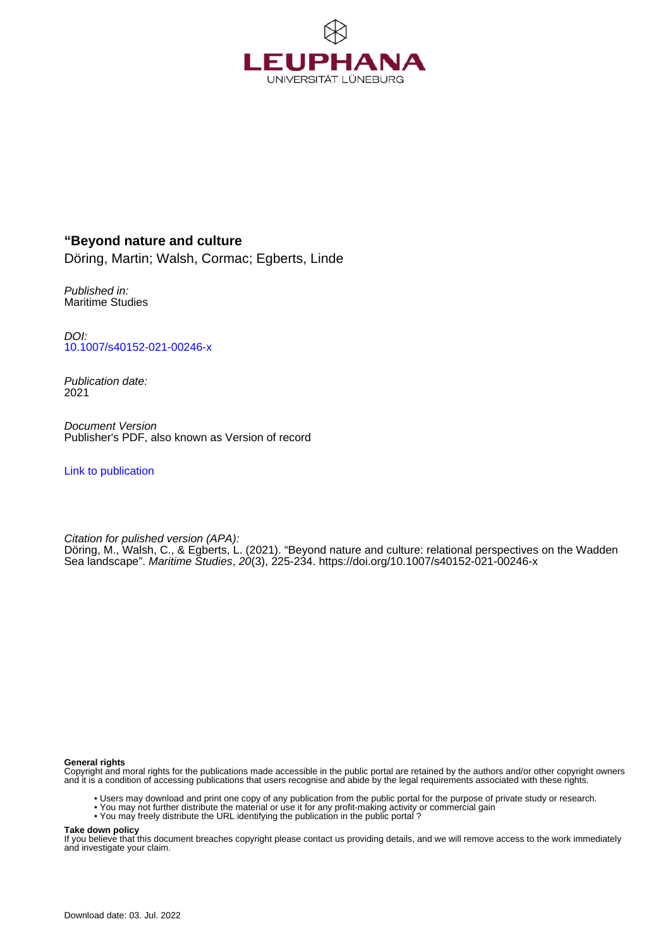

# **"Beyond nature and culture**

Döring, Martin; Walsh, Cormac; Egberts, Linde

Published in: Maritime Studies

DOI: [10.1007/s40152-021-00246-x](https://doi.org/10.1007/s40152-021-00246-x)

Publication date: 2021

Document Version Publisher's PDF, also known as Version of record

[Link to publication](http://fox.leuphana.de/portal/en/publications/beyond-nature-and-culture(a0f35467-3492-4260-9469-65993e51ca92).html)

Citation for pulished version (APA): Döring, M[., Walsh, C.](http://fox.leuphana.de/portal/de/persons/cormac-walsh(25c90567-c8ba-4b02-98d0-e195d5e74414).html), & Egberts, L. (2021). ["Beyond nature and culture: relational perspectives on the Wadden](http://fox.leuphana.de/portal/de/publications/beyond-nature-and-culture(a0f35467-3492-4260-9469-65993e51ca92).html) [Sea landscape"](http://fox.leuphana.de/portal/de/publications/beyond-nature-and-culture(a0f35467-3492-4260-9469-65993e51ca92).html). [Maritime Studies](http://fox.leuphana.de/portal/de/journals/maritime-studies(ea446c0b-f281-406e-a2af-d1259e32c2a1)/publications.html), 20(3), 225-234.<https://doi.org/10.1007/s40152-021-00246-x>

#### **General rights**

Copyright and moral rights for the publications made accessible in the public portal are retained by the authors and/or other copyright owners and it is a condition of accessing publications that users recognise and abide by the legal requirements associated with these rights.

- Users may download and print one copy of any publication from the public portal for the purpose of private study or research.
- You may not further distribute the material or use it for any profit-making activity or commercial gain
- You may freely distribute the URL identifying the publication in the public portal ?

#### **Take down policy**

If you believe that this document breaches copyright please contact us providing details, and we will remove access to the work immediately and investigate your claim.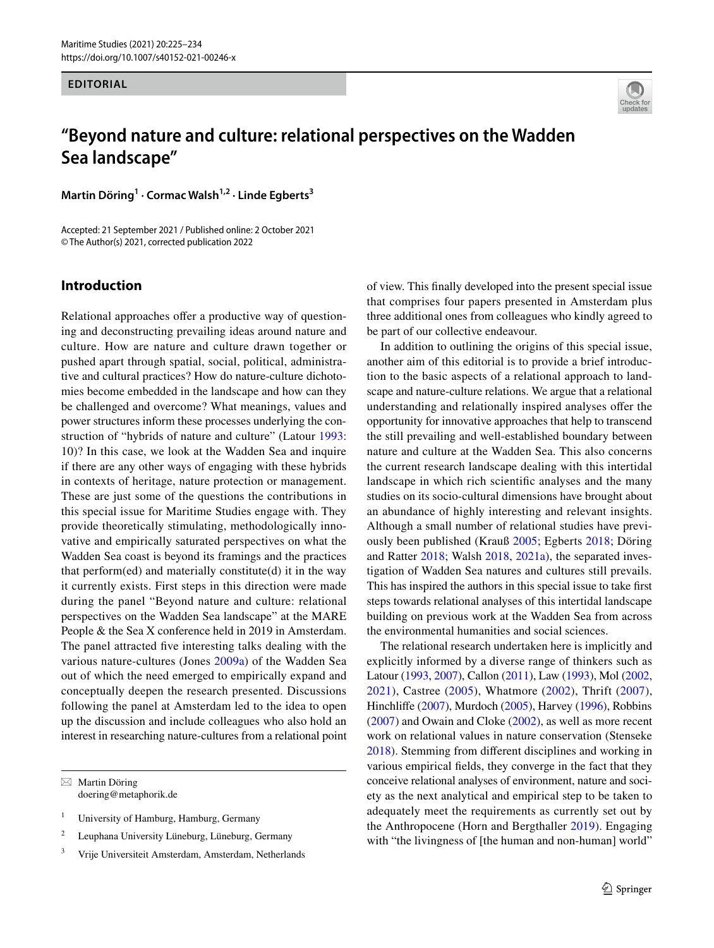#### **EDITORIAL**



# **"Beyond nature and culture: relational perspectives on the Wadden Sea landscape"**

**Martin Döring1 · Cormac Walsh1,2 · Linde Egberts3**

Accepted: 21 September 2021 / Published online: 2 October 2021 © The Author(s) 2021, corrected publication 2022

## **Introduction**

Relational approaches offer a productive way of questioning and deconstructing prevailing ideas around nature and culture. How are nature and culture drawn together or pushed apart through spatial, social, political, administrative and cultural practices? How do nature-culture dichotomies become embedded in the landscape and how can they be challenged and overcome? What meanings, values and power structures inform these processes underlying the construction of "hybrids of nature and culture" (Latour [1993](#page-9-0): 10)? In this case, we look at the Wadden Sea and inquire if there are any other ways of engaging with these hybrids in contexts of heritage, nature protection or management. These are just some of the questions the contributions in this special issue for Maritime Studies engage with. They provide theoretically stimulating, methodologically innovative and empirically saturated perspectives on what the Wadden Sea coast is beyond its framings and the practices that  $perform(ed)$  and materially constitute $(d)$  it in the way it currently exists. First steps in this direction were made during the panel "Beyond nature and culture: relational perspectives on the Wadden Sea landscape" at the MARE People & the Sea X conference held in 2019 in Amsterdam. The panel attracted fve interesting talks dealing with the various nature-cultures (Jones [2009a](#page-8-0)) of the Wadden Sea out of which the need emerged to empirically expand and conceptually deepen the research presented. Discussions following the panel at Amsterdam led to the idea to open up the discussion and include colleagues who also hold an interest in researching nature-cultures from a relational point

 $\boxtimes$  Martin Döring doering@metaphorik.de

- <sup>1</sup> University of Hamburg, Hamburg, Germany
- <sup>2</sup> Leuphana University Lüneburg, Lüneburg, Germany
- <sup>3</sup> Vrije Universiteit Amsterdam, Amsterdam, Netherlands

of view. This fnally developed into the present special issue that comprises four papers presented in Amsterdam plus three additional ones from colleagues who kindly agreed to be part of our collective endeavour.

In addition to outlining the origins of this special issue, another aim of this editorial is to provide a brief introduction to the basic aspects of a relational approach to landscape and nature-culture relations. We argue that a relational understanding and relationally inspired analyses offer the opportunity for innovative approaches that help to transcend the still prevailing and well-established boundary between nature and culture at the Wadden Sea. This also concerns the current research landscape dealing with this intertidal landscape in which rich scientifc analyses and the many studies on its socio-cultural dimensions have brought about an abundance of highly interesting and relevant insights. Although a small number of relational studies have previously been published (Krauß [2005;](#page-9-1) Egberts [2018](#page-8-1); Döring and Ratter [2018](#page-8-2); Walsh [2018](#page-9-2), [2021a](#page-9-3)), the separated investigation of Wadden Sea natures and cultures still prevails. This has inspired the authors in this special issue to take frst steps towards relational analyses of this intertidal landscape building on previous work at the Wadden Sea from across the environmental humanities and social sciences.

The relational research undertaken here is implicitly and explicitly informed by a diverse range of thinkers such as Latour ([1993,](#page-9-0) [2007](#page-9-4)), Callon ([2011\)](#page-8-3), Law [\(1993](#page-9-5)), Mol [\(2002,](#page-9-6) [2021\)](#page-9-7), Castree ([2005](#page-8-4)), Whatmore [\(2002](#page-10-0)), Thrift [\(2007](#page-9-8)), Hinchlife ([2007\)](#page-8-5), Murdoch [\(2005\)](#page-9-9), Harvey ([1996](#page-8-6)), Robbins ([2007\)](#page-9-10) and Owain and Cloke [\(2002\)](#page-8-7), as well as more recent work on relational values in nature conservation (Stenseke [2018](#page-9-11)). Stemming from diferent disciplines and working in various empirical felds, they converge in the fact that they conceive relational analyses of environment, nature and society as the next analytical and empirical step to be taken to adequately meet the requirements as currently set out by the Anthropocene (Horn and Bergthaller [2019](#page-8-8)). Engaging with "the livingness of [the human and non-human] world"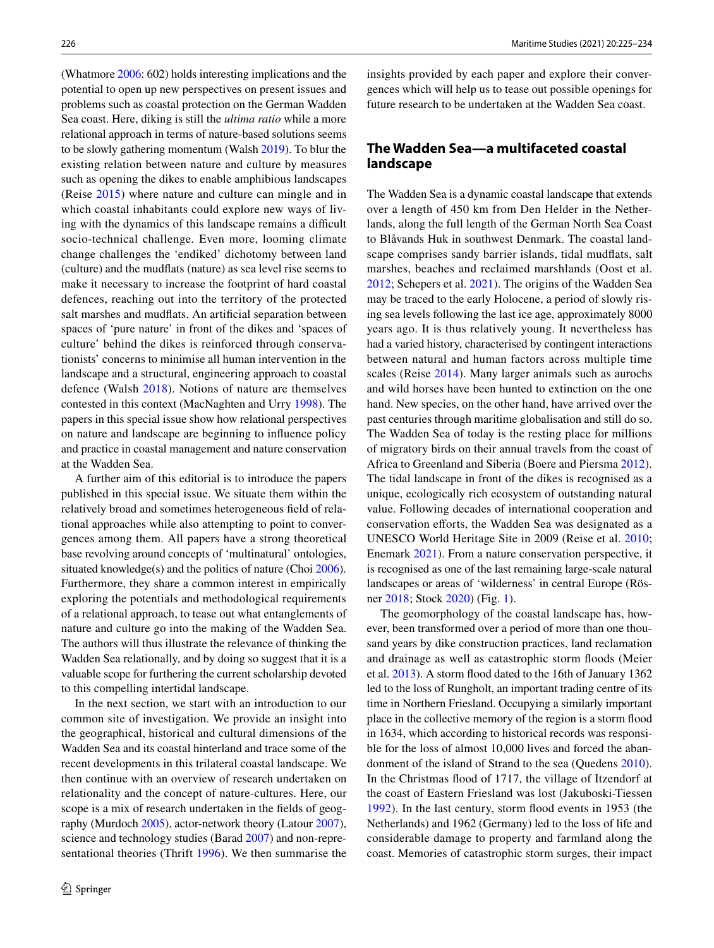(Whatmore [2006:](#page-10-1) 602) holds interesting implications and the potential to open up new perspectives on present issues and problems such as coastal protection on the German Wadden Sea coast. Here, diking is still the *ultima ratio* while a more relational approach in terms of nature-based solutions seems to be slowly gathering momentum (Walsh [2019\)](#page-9-12). To blur the existing relation between nature and culture by measures such as opening the dikes to enable amphibious landscapes (Reise [2015\)](#page-9-13) where nature and culture can mingle and in which coastal inhabitants could explore new ways of living with the dynamics of this landscape remains a difficult socio-technical challenge. Even more, looming climate change challenges the 'endiked' dichotomy between land (culture) and the mudfats (nature) as sea level rise seems to make it necessary to increase the footprint of hard coastal defences, reaching out into the territory of the protected salt marshes and mudfats. An artifcial separation between spaces of 'pure nature' in front of the dikes and 'spaces of culture' behind the dikes is reinforced through conservationists' concerns to minimise all human intervention in the landscape and a structural, engineering approach to coastal defence (Walsh [2018](#page-9-2)). Notions of nature are themselves contested in this context (MacNaghten and Urry [1998](#page-9-14)). The papers in this special issue show how relational perspectives on nature and landscape are beginning to infuence policy and practice in coastal management and nature conservation at the Wadden Sea.

A further aim of this editorial is to introduce the papers published in this special issue. We situate them within the relatively broad and sometimes heterogeneous feld of relational approaches while also attempting to point to convergences among them. All papers have a strong theoretical base revolving around concepts of 'multinatural' ontologies, situated knowledge(s) and the politics of nature (Choi [2006](#page-8-9)). Furthermore, they share a common interest in empirically exploring the potentials and methodological requirements of a relational approach, to tease out what entanglements of nature and culture go into the making of the Wadden Sea. The authors will thus illustrate the relevance of thinking the Wadden Sea relationally, and by doing so suggest that it is a valuable scope for furthering the current scholarship devoted to this compelling intertidal landscape.

In the next section, we start with an introduction to our common site of investigation. We provide an insight into the geographical, historical and cultural dimensions of the Wadden Sea and its coastal hinterland and trace some of the recent developments in this trilateral coastal landscape. We then continue with an overview of research undertaken on relationality and the concept of nature-cultures. Here, our scope is a mix of research undertaken in the felds of geography (Murdoch [2005\)](#page-9-9), actor-network theory (Latour [2007](#page-9-4)), science and technology studies (Barad [2007\)](#page-8-10) and non-representational theories (Thrift [1996](#page-9-15)). We then summarise the insights provided by each paper and explore their convergences which will help us to tease out possible openings for future research to be undertaken at the Wadden Sea coast.

### **The Wadden Sea—a multifaceted coastal landscape**

The Wadden Sea is a dynamic coastal landscape that extends over a length of 450 km from Den Helder in the Netherlands, along the full length of the German North Sea Coast to Blåvands Huk in southwest Denmark. The coastal landscape comprises sandy barrier islands, tidal mudfats, salt marshes, beaches and reclaimed marshlands (Oost et al. [2012](#page-9-16); Schepers et al. [2021](#page-9-17)). The origins of the Wadden Sea may be traced to the early Holocene, a period of slowly rising sea levels following the last ice age, approximately 8000 years ago. It is thus relatively young. It nevertheless has had a varied history, characterised by contingent interactions between natural and human factors across multiple time scales (Reise [2014](#page-9-18)). Many larger animals such as aurochs and wild horses have been hunted to extinction on the one hand. New species, on the other hand, have arrived over the past centuries through maritime globalisation and still do so. The Wadden Sea of today is the resting place for millions of migratory birds on their annual travels from the coast of Africa to Greenland and Siberia (Boere and Piersma [2012](#page-8-11)). The tidal landscape in front of the dikes is recognised as a unique, ecologically rich ecosystem of outstanding natural value. Following decades of international cooperation and conservation efforts, the Wadden Sea was designated as a UNESCO World Heritage Site in 2009 (Reise et al. [2010](#page-9-19); Enemark [2021](#page-8-12)). From a nature conservation perspective, it is recognised as one of the last remaining large-scale natural landscapes or areas of 'wilderness' in central Europe (Rösner [2018;](#page-9-20) Stock [2020](#page-9-21)) (Fig. [1\)](#page-3-0).

The geomorphology of the coastal landscape has, however, been transformed over a period of more than one thousand years by dike construction practices, land reclamation and drainage as well as catastrophic storm foods (Meier et al. [2013](#page-9-22)). A storm food dated to the 16th of January 1362 led to the loss of Rungholt, an important trading centre of its time in Northern Friesland. Occupying a similarly important place in the collective memory of the region is a storm food in 1634, which according to historical records was responsible for the loss of almost 10,000 lives and forced the abandonment of the island of Strand to the sea (Quedens [2010](#page-9-23)). In the Christmas food of 1717, the village of Itzendorf at the coast of Eastern Friesland was lost (Jakuboski-Tiessen [1992\)](#page-8-13). In the last century, storm food events in 1953 (the Netherlands) and 1962 (Germany) led to the loss of life and considerable damage to property and farmland along the coast. Memories of catastrophic storm surges, their impact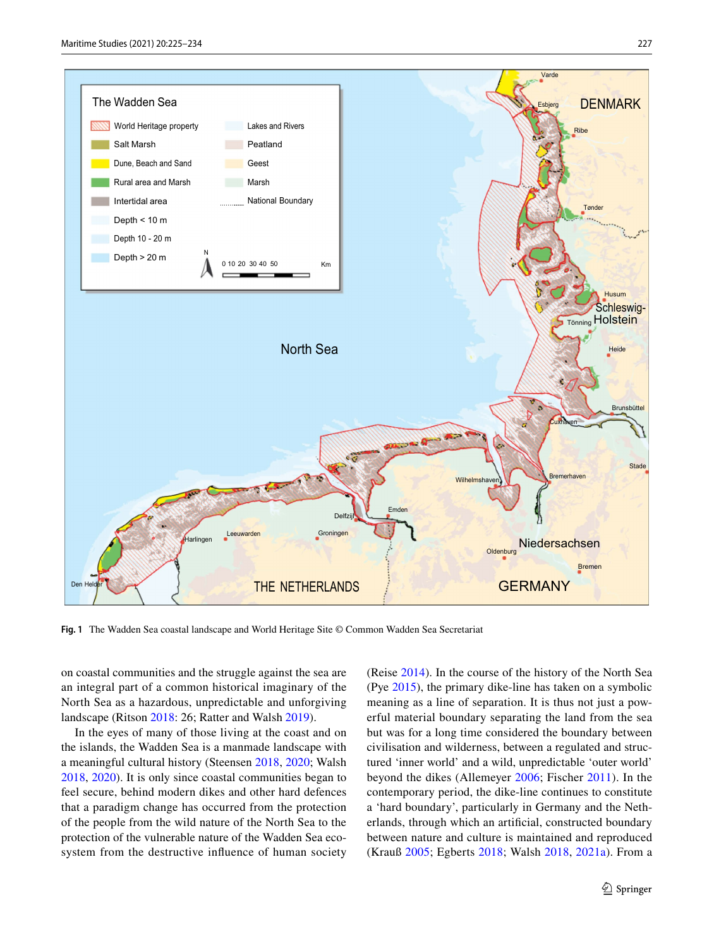

<span id="page-3-0"></span>**Fig. 1** The Wadden Sea coastal landscape and World Heritage Site © Common Wadden Sea Secretariat

on coastal communities and the struggle against the sea are an integral part of a common historical imaginary of the North Sea as a hazardous, unpredictable and unforgiving landscape (Ritson [2018:](#page-9-24) 26; Ratter and Walsh [2019](#page-9-25)).

In the eyes of many of those living at the coast and on the islands, the Wadden Sea is a manmade landscape with a meaningful cultural history (Steensen [2018](#page-9-26), [2020;](#page-9-27) Walsh [2018](#page-9-2), [2020\)](#page-9-28). It is only since coastal communities began to feel secure, behind modern dikes and other hard defences that a paradigm change has occurred from the protection of the people from the wild nature of the North Sea to the protection of the vulnerable nature of the Wadden Sea ecosystem from the destructive infuence of human society (Reise [2014\)](#page-9-18). In the course of the history of the North Sea (Pye [2015\)](#page-9-29), the primary dike-line has taken on a symbolic meaning as a line of separation. It is thus not just a powerful material boundary separating the land from the sea but was for a long time considered the boundary between civilisation and wilderness, between a regulated and structured 'inner world' and a wild, unpredictable 'outer world' beyond the dikes (Allemeyer [2006](#page-8-14); Fischer [2011\)](#page-8-15). In the contemporary period, the dike-line continues to constitute a 'hard boundary', particularly in Germany and the Netherlands, through which an artifcial, constructed boundary between nature and culture is maintained and reproduced (Krauß [2005;](#page-9-1) Egberts [2018;](#page-8-1) Walsh [2018,](#page-9-2) [2021a\)](#page-9-3). From a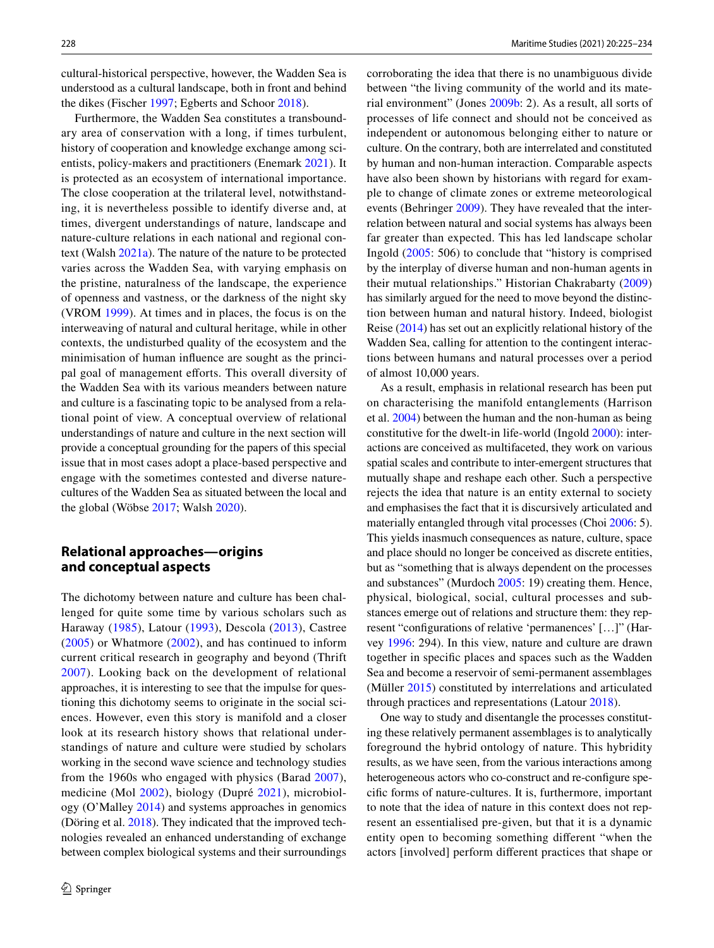cultural-historical perspective, however, the Wadden Sea is understood as a cultural landscape, both in front and behind the dikes (Fischer [1997](#page-8-16); Egberts and Schoor [2018](#page-8-17)).

Furthermore, the Wadden Sea constitutes a transboundary area of conservation with a long, if times turbulent, history of cooperation and knowledge exchange among scientists, policy-makers and practitioners (Enemark [2021\)](#page-8-12). It is protected as an ecosystem of international importance. The close cooperation at the trilateral level, notwithstanding, it is nevertheless possible to identify diverse and, at times, divergent understandings of nature, landscape and nature-culture relations in each national and regional context (Walsh [2021a\)](#page-9-3). The nature of the nature to be protected varies across the Wadden Sea, with varying emphasis on the pristine, naturalness of the landscape, the experience of openness and vastness, or the darkness of the night sky (VROM [1999\)](#page-9-30). At times and in places, the focus is on the interweaving of natural and cultural heritage, while in other contexts, the undisturbed quality of the ecosystem and the minimisation of human infuence are sought as the principal goal of management efforts. This overall diversity of the Wadden Sea with its various meanders between nature and culture is a fascinating topic to be analysed from a relational point of view. A conceptual overview of relational understandings of nature and culture in the next section will provide a conceptual grounding for the papers of this special issue that in most cases adopt a place-based perspective and engage with the sometimes contested and diverse naturecultures of the Wadden Sea as situated between the local and the global (Wöbse [2017](#page-10-2); Walsh [2020](#page-9-28)).

### **Relational approaches—origins and conceptual aspects**

The dichotomy between nature and culture has been challenged for quite some time by various scholars such as Haraway ([1985\)](#page-8-18), Latour [\(1993\)](#page-9-0), Descola [\(2013\)](#page-8-19), Castree [\(2005](#page-8-4)) or Whatmore ([2002](#page-10-0)), and has continued to inform current critical research in geography and beyond (Thrift [2007](#page-9-8)). Looking back on the development of relational approaches, it is interesting to see that the impulse for questioning this dichotomy seems to originate in the social sciences. However, even this story is manifold and a closer look at its research history shows that relational understandings of nature and culture were studied by scholars working in the second wave science and technology studies from the 1960s who engaged with physics (Barad [2007](#page-8-10)), medicine (Mol [2002](#page-9-6)), biology (Dupré [2021\)](#page-8-20), microbiology (O'Malley [2014](#page-9-31)) and systems approaches in genomics (Döring et al. [2018\)](#page-8-21). They indicated that the improved technologies revealed an enhanced understanding of exchange between complex biological systems and their surroundings corroborating the idea that there is no unambiguous divide between "the living community of the world and its material environment" (Jones [2009b:](#page-8-22) 2). As a result, all sorts of processes of life connect and should not be conceived as independent or autonomous belonging either to nature or culture. On the contrary, both are interrelated and constituted by human and non-human interaction. Comparable aspects have also been shown by historians with regard for example to change of climate zones or extreme meteorological events (Behringer [2009\)](#page-8-23). They have revealed that the interrelation between natural and social systems has always been far greater than expected. This has led landscape scholar Ingold [\(2005:](#page-8-24) 506) to conclude that "history is comprised by the interplay of diverse human and non-human agents in their mutual relationships." Historian Chakrabarty [\(2009\)](#page-8-25) has similarly argued for the need to move beyond the distinction between human and natural history. Indeed, biologist Reise [\(2014](#page-9-18)) has set out an explicitly relational history of the Wadden Sea, calling for attention to the contingent interactions between humans and natural processes over a period of almost 10,000 years.

As a result, emphasis in relational research has been put on characterising the manifold entanglements (Harrison et al. [2004](#page-8-26)) between the human and the non-human as being constitutive for the dwelt-in life-world (Ingold [2000](#page-8-27)): interactions are conceived as multifaceted, they work on various spatial scales and contribute to inter-emergent structures that mutually shape and reshape each other. Such a perspective rejects the idea that nature is an entity external to society and emphasises the fact that it is discursively articulated and materially entangled through vital processes (Choi [2006](#page-8-9): 5). This yields inasmuch consequences as nature, culture, space and place should no longer be conceived as discrete entities, but as "something that is always dependent on the processes and substances" (Murdoch [2005](#page-9-9): 19) creating them. Hence, physical, biological, social, cultural processes and substances emerge out of relations and structure them: they represent "confgurations of relative 'permanences' […]" (Harvey [1996:](#page-8-6) 294). In this view, nature and culture are drawn together in specifc places and spaces such as the Wadden Sea and become a reservoir of semi-permanent assemblages (Müller [2015](#page-9-32)) constituted by interrelations and articulated through practices and representations (Latour [2018](#page-9-33)).

One way to study and disentangle the processes constituting these relatively permanent assemblages is to analytically foreground the hybrid ontology of nature. This hybridity results, as we have seen, from the various interactions among heterogeneous actors who co-construct and re-confgure specifc forms of nature-cultures. It is, furthermore, important to note that the idea of nature in this context does not represent an essentialised pre-given, but that it is a dynamic entity open to becoming something diferent "when the actors [involved] perform diferent practices that shape or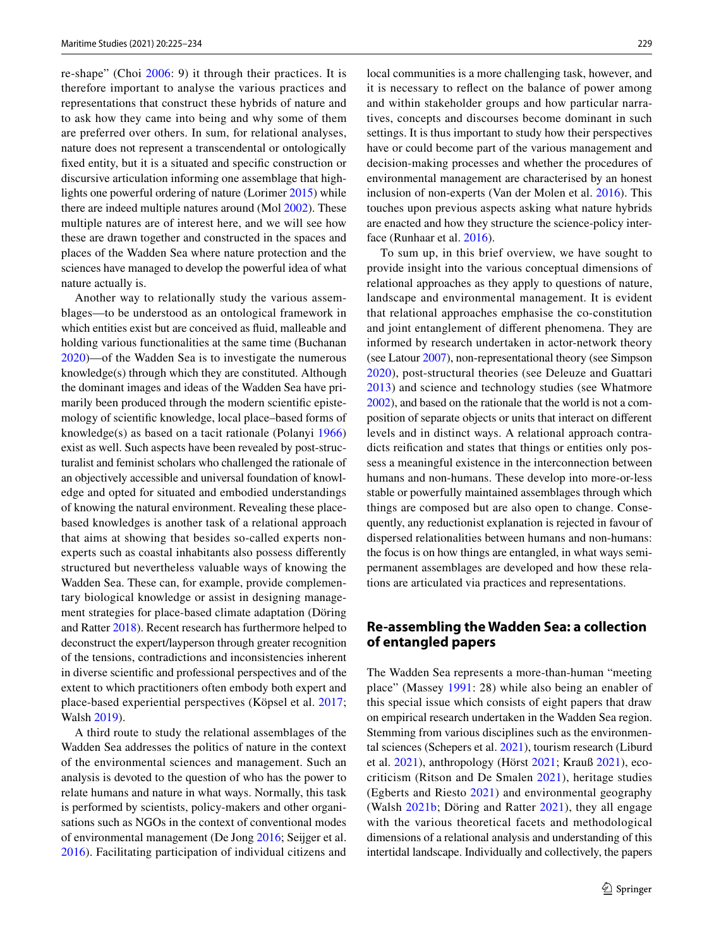re-shape" (Choi [2006](#page-8-9): 9) it through their practices. It is therefore important to analyse the various practices and representations that construct these hybrids of nature and to ask how they came into being and why some of them are preferred over others. In sum, for relational analyses, nature does not represent a transcendental or ontologically fxed entity, but it is a situated and specifc construction or discursive articulation informing one assemblage that highlights one powerful ordering of nature (Lorimer [2015\)](#page-9-34) while there are indeed multiple natures around (Mol [2002](#page-9-6)). These multiple natures are of interest here, and we will see how these are drawn together and constructed in the spaces and places of the Wadden Sea where nature protection and the sciences have managed to develop the powerful idea of what nature actually is.

Another way to relationally study the various assemblages—to be understood as an ontological framework in which entities exist but are conceived as fuid, malleable and holding various functionalities at the same time (Buchanan [2020](#page-8-28))—of the Wadden Sea is to investigate the numerous knowledge(s) through which they are constituted. Although the dominant images and ideas of the Wadden Sea have primarily been produced through the modern scientifc epistemology of scientifc knowledge, local place–based forms of knowledge(s) as based on a tacit rationale (Polanyi [1966\)](#page-9-35) exist as well. Such aspects have been revealed by post-structuralist and feminist scholars who challenged the rationale of an objectively accessible and universal foundation of knowledge and opted for situated and embodied understandings of knowing the natural environment. Revealing these placebased knowledges is another task of a relational approach that aims at showing that besides so-called experts nonexperts such as coastal inhabitants also possess diferently structured but nevertheless valuable ways of knowing the Wadden Sea. These can, for example, provide complementary biological knowledge or assist in designing management strategies for place-based climate adaptation (Döring and Ratter [2018](#page-8-2)). Recent research has furthermore helped to deconstruct the expert/layperson through greater recognition of the tensions, contradictions and inconsistencies inherent in diverse scientifc and professional perspectives and of the extent to which practitioners often embody both expert and place-based experiential perspectives (Köpsel et al. [2017](#page-9-36); Walsh [2019\)](#page-9-12).

A third route to study the relational assemblages of the Wadden Sea addresses the politics of nature in the context of the environmental sciences and management. Such an analysis is devoted to the question of who has the power to relate humans and nature in what ways. Normally, this task is performed by scientists, policy-makers and other organisations such as NGOs in the context of conventional modes of environmental management (De Jong [2016](#page-8-29); Seijger et al. [2016](#page-9-37)). Facilitating participation of individual citizens and

local communities is a more challenging task, however, and it is necessary to refect on the balance of power among and within stakeholder groups and how particular narratives, concepts and discourses become dominant in such settings. It is thus important to study how their perspectives have or could become part of the various management and decision-making processes and whether the procedures of environmental management are characterised by an honest inclusion of non-experts (Van der Molen et al. [2016\)](#page-9-38). This touches upon previous aspects asking what nature hybrids are enacted and how they structure the science-policy interface (Runhaar et al. [2016](#page-9-39)).

To sum up, in this brief overview, we have sought to provide insight into the various conceptual dimensions of relational approaches as they apply to questions of nature, landscape and environmental management. It is evident that relational approaches emphasise the co-constitution and joint entanglement of diferent phenomena. They are informed by research undertaken in actor-network theory (see Latour [2007\)](#page-9-4), non-representational theory (see Simpson [2020\)](#page-9-40), post-structural theories (see Deleuze and Guattari [2013\)](#page-8-30) and science and technology studies (see Whatmore [2002\)](#page-10-0), and based on the rationale that the world is not a composition of separate objects or units that interact on diferent levels and in distinct ways. A relational approach contradicts reifcation and states that things or entities only possess a meaningful existence in the interconnection between humans and non-humans. These develop into more-or-less stable or powerfully maintained assemblages through which things are composed but are also open to change. Consequently, any reductionist explanation is rejected in favour of dispersed relationalities between humans and non-humans: the focus is on how things are entangled, in what ways semipermanent assemblages are developed and how these relations are articulated via practices and representations.

# **Re‑assembling the Wadden Sea: a collection of entangled papers**

The Wadden Sea represents a more-than-human "meeting place" (Massey [1991](#page-9-41): 28) while also being an enabler of this special issue which consists of eight papers that draw on empirical research undertaken in the Wadden Sea region. Stemming from various disciplines such as the environmental sciences (Schepers et al. [2021](#page-9-17)), tourism research (Liburd et al. [2021](#page-9-42)), anthropology (Hörst [2021](#page-8-31); Krauß [2021](#page-9-43)), ecocriticism (Ritson and De Smalen [2021\)](#page-9-44), heritage studies (Egberts and Riesto [2021](#page-8-32)) and environmental geography (Walsh [2021b;](#page-10-3) Döring and Ratter [2021](#page-8-33)), they all engage with the various theoretical facets and methodological dimensions of a relational analysis and understanding of this intertidal landscape. Individually and collectively, the papers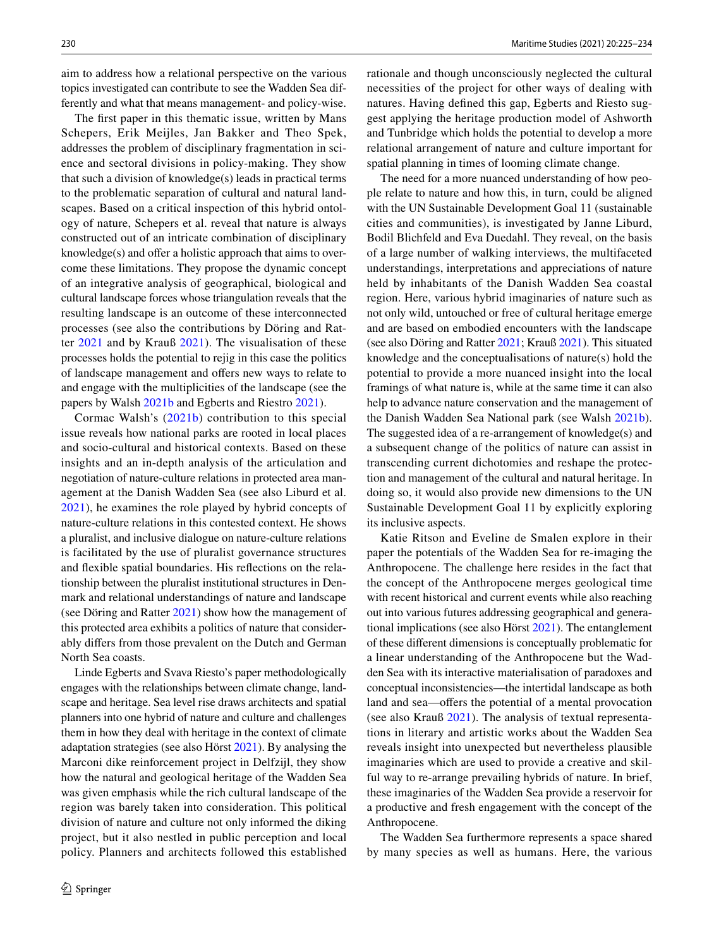aim to address how a relational perspective on the various topics investigated can contribute to see the Wadden Sea differently and what that means management- and policy-wise.

The frst paper in this thematic issue, written by Mans Schepers, Erik Meijles, Jan Bakker and Theo Spek, addresses the problem of disciplinary fragmentation in science and sectoral divisions in policy-making. They show that such a division of knowledge(s) leads in practical terms to the problematic separation of cultural and natural landscapes. Based on a critical inspection of this hybrid ontology of nature, Schepers et al. reveal that nature is always constructed out of an intricate combination of disciplinary knowledge $(s)$  and offer a holistic approach that aims to overcome these limitations. They propose the dynamic concept of an integrative analysis of geographical, biological and cultural landscape forces whose triangulation reveals that the resulting landscape is an outcome of these interconnected processes (see also the contributions by Döring and Ratter [2021](#page-8-33) and by Krauß [2021\)](#page-9-43). The visualisation of these processes holds the potential to rejig in this case the politics of landscape management and offers new ways to relate to and engage with the multiplicities of the landscape (see the papers by Walsh [2021b](#page-10-3) and Egberts and Riestro [2021\)](#page-8-32).

Cormac Walsh's ([2021b\)](#page-10-3) contribution to this special issue reveals how national parks are rooted in local places and socio-cultural and historical contexts. Based on these insights and an in-depth analysis of the articulation and negotiation of nature-culture relations in protected area management at the Danish Wadden Sea (see also Liburd et al. [2021\)](#page-9-42), he examines the role played by hybrid concepts of nature-culture relations in this contested context. He shows a pluralist, and inclusive dialogue on nature-culture relations is facilitated by the use of pluralist governance structures and fexible spatial boundaries. His refections on the relationship between the pluralist institutional structures in Denmark and relational understandings of nature and landscape (see Döring and Ratter [2021](#page-8-33)) show how the management of this protected area exhibits a politics of nature that considerably difers from those prevalent on the Dutch and German North Sea coasts.

Linde Egberts and Svava Riesto's paper methodologically engages with the relationships between climate change, landscape and heritage. Sea level rise draws architects and spatial planners into one hybrid of nature and culture and challenges them in how they deal with heritage in the context of climate adaptation strategies (see also Hörst [2021](#page-8-31)). By analysing the Marconi dike reinforcement project in Delfzijl, they show how the natural and geological heritage of the Wadden Sea was given emphasis while the rich cultural landscape of the region was barely taken into consideration. This political division of nature and culture not only informed the diking project, but it also nestled in public perception and local policy. Planners and architects followed this established rationale and though unconsciously neglected the cultural necessities of the project for other ways of dealing with natures. Having defned this gap, Egberts and Riesto suggest applying the heritage production model of Ashworth and Tunbridge which holds the potential to develop a more relational arrangement of nature and culture important for spatial planning in times of looming climate change.

The need for a more nuanced understanding of how people relate to nature and how this, in turn, could be aligned with the UN Sustainable Development Goal 11 (sustainable cities and communities), is investigated by Janne Liburd, Bodil Blichfeld and Eva Duedahl. They reveal, on the basis of a large number of walking interviews, the multifaceted understandings, interpretations and appreciations of nature held by inhabitants of the Danish Wadden Sea coastal region. Here, various hybrid imaginaries of nature such as not only wild, untouched or free of cultural heritage emerge and are based on embodied encounters with the landscape (see also Döring and Ratter [2021;](#page-8-33) Krauß [2021](#page-9-43)). This situated knowledge and the conceptualisations of nature(s) hold the potential to provide a more nuanced insight into the local framings of what nature is, while at the same time it can also help to advance nature conservation and the management of the Danish Wadden Sea National park (see Walsh [2021b](#page-10-3)). The suggested idea of a re-arrangement of knowledge(s) and a subsequent change of the politics of nature can assist in transcending current dichotomies and reshape the protection and management of the cultural and natural heritage. In doing so, it would also provide new dimensions to the UN Sustainable Development Goal 11 by explicitly exploring its inclusive aspects.

Katie Ritson and Eveline de Smalen explore in their paper the potentials of the Wadden Sea for re-imaging the Anthropocene. The challenge here resides in the fact that the concept of the Anthropocene merges geological time with recent historical and current events while also reaching out into various futures addressing geographical and generational implications (see also Hörst [2021](#page-8-31)). The entanglement of these diferent dimensions is conceptually problematic for a linear understanding of the Anthropocene but the Wadden Sea with its interactive materialisation of paradoxes and conceptual inconsistencies—the intertidal landscape as both land and sea—offers the potential of a mental provocation (see also Krauß [2021\)](#page-9-43). The analysis of textual representations in literary and artistic works about the Wadden Sea reveals insight into unexpected but nevertheless plausible imaginaries which are used to provide a creative and skilful way to re-arrange prevailing hybrids of nature. In brief, these imaginaries of the Wadden Sea provide a reservoir for a productive and fresh engagement with the concept of the Anthropocene.

The Wadden Sea furthermore represents a space shared by many species as well as humans. Here, the various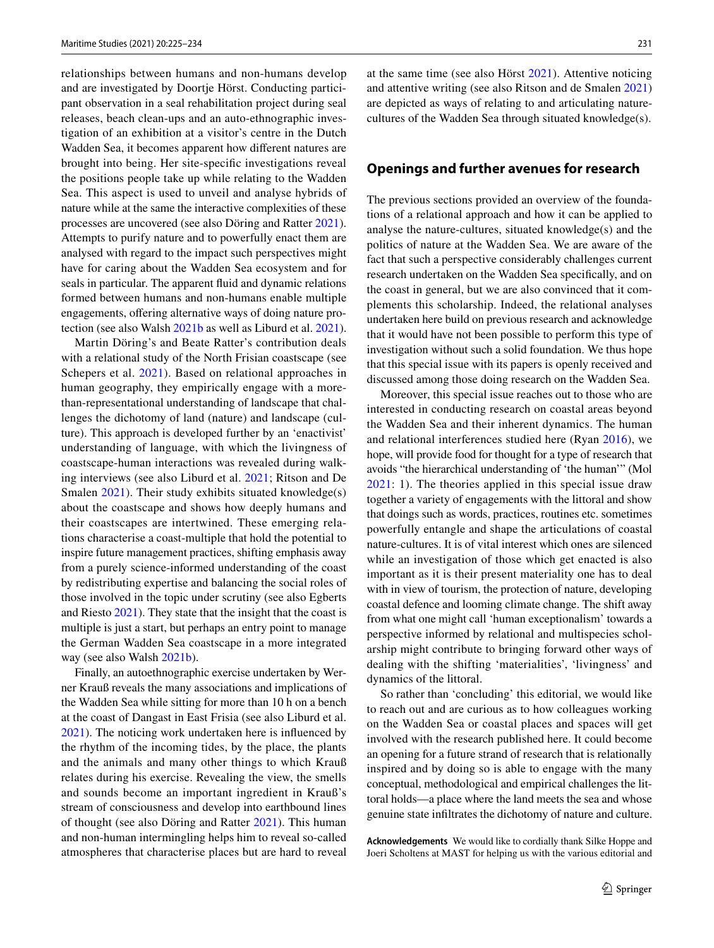relationships between humans and non-humans develop and are investigated by Doortje Hörst. Conducting participant observation in a seal rehabilitation project during seal releases, beach clean-ups and an auto-ethnographic investigation of an exhibition at a visitor's centre in the Dutch Wadden Sea, it becomes apparent how diferent natures are brought into being. Her site-specifc investigations reveal the positions people take up while relating to the Wadden Sea. This aspect is used to unveil and analyse hybrids of nature while at the same the interactive complexities of these processes are uncovered (see also Döring and Ratter [2021](#page-8-33)). Attempts to purify nature and to powerfully enact them are analysed with regard to the impact such perspectives might have for caring about the Wadden Sea ecosystem and for seals in particular. The apparent fuid and dynamic relations formed between humans and non-humans enable multiple engagements, offering alternative ways of doing nature protection (see also Walsh [2021b](#page-10-3) as well as Liburd et al. [2021](#page-9-42)).

Martin Döring's and Beate Ratter's contribution deals with a relational study of the North Frisian coastscape (see Schepers et al. [2021\)](#page-9-17). Based on relational approaches in human geography, they empirically engage with a morethan-representational understanding of landscape that challenges the dichotomy of land (nature) and landscape (culture). This approach is developed further by an 'enactivist' understanding of language, with which the livingness of coastscape-human interactions was revealed during walking interviews (see also Liburd et al. [2021;](#page-9-42) Ritson and De Smalen [2021](#page-9-44)). Their study exhibits situated knowledge(s) about the coastscape and shows how deeply humans and their coastscapes are intertwined. These emerging relations characterise a coast-multiple that hold the potential to inspire future management practices, shifting emphasis away from a purely science-informed understanding of the coast by redistributing expertise and balancing the social roles of those involved in the topic under scrutiny (see also Egberts and Riesto [2021](#page-8-32)). They state that the insight that the coast is multiple is just a start, but perhaps an entry point to manage the German Wadden Sea coastscape in a more integrated way (see also Walsh [2021b](#page-10-3)).

Finally, an autoethnographic exercise undertaken by Werner Krauß reveals the many associations and implications of the Wadden Sea while sitting for more than 10 h on a bench at the coast of Dangast in East Frisia (see also Liburd et al. [2021](#page-9-42)). The noticing work undertaken here is infuenced by the rhythm of the incoming tides, by the place, the plants and the animals and many other things to which Krauß relates during his exercise. Revealing the view, the smells and sounds become an important ingredient in Krauß's stream of consciousness and develop into earthbound lines of thought (see also Döring and Ratter [2021\)](#page-8-33). This human and non-human intermingling helps him to reveal so-called atmospheres that characterise places but are hard to reveal at the same time (see also Hörst [2021](#page-8-31)). Attentive noticing and attentive writing (see also Ritson and de Smalen [2021\)](#page-9-44) are depicted as ways of relating to and articulating naturecultures of the Wadden Sea through situated knowledge(s).

### **Openings and further avenues for research**

The previous sections provided an overview of the foundations of a relational approach and how it can be applied to analyse the nature-cultures, situated knowledge(s) and the politics of nature at the Wadden Sea. We are aware of the fact that such a perspective considerably challenges current research undertaken on the Wadden Sea specifcally, and on the coast in general, but we are also convinced that it complements this scholarship. Indeed, the relational analyses undertaken here build on previous research and acknowledge that it would have not been possible to perform this type of investigation without such a solid foundation. We thus hope that this special issue with its papers is openly received and discussed among those doing research on the Wadden Sea.

Moreover, this special issue reaches out to those who are interested in conducting research on coastal areas beyond the Wadden Sea and their inherent dynamics. The human and relational interferences studied here (Ryan [2016\)](#page-9-45), we hope, will provide food for thought for a type of research that avoids "the hierarchical understanding of 'the human'" (Mol [2021:](#page-9-7) 1). The theories applied in this special issue draw together a variety of engagements with the littoral and show that doings such as words, practices, routines etc. sometimes powerfully entangle and shape the articulations of coastal nature-cultures. It is of vital interest which ones are silenced while an investigation of those which get enacted is also important as it is their present materiality one has to deal with in view of tourism, the protection of nature, developing coastal defence and looming climate change. The shift away from what one might call 'human exceptionalism' towards a perspective informed by relational and multispecies scholarship might contribute to bringing forward other ways of dealing with the shifting 'materialities', 'livingness' and dynamics of the littoral.

So rather than 'concluding' this editorial, we would like to reach out and are curious as to how colleagues working on the Wadden Sea or coastal places and spaces will get involved with the research published here. It could become an opening for a future strand of research that is relationally inspired and by doing so is able to engage with the many conceptual, methodological and empirical challenges the littoral holds—a place where the land meets the sea and whose genuine state infltrates the dichotomy of nature and culture.

**Acknowledgements** We would like to cordially thank Silke Hoppe and Joeri Scholtens at MAST for helping us with the various editorial and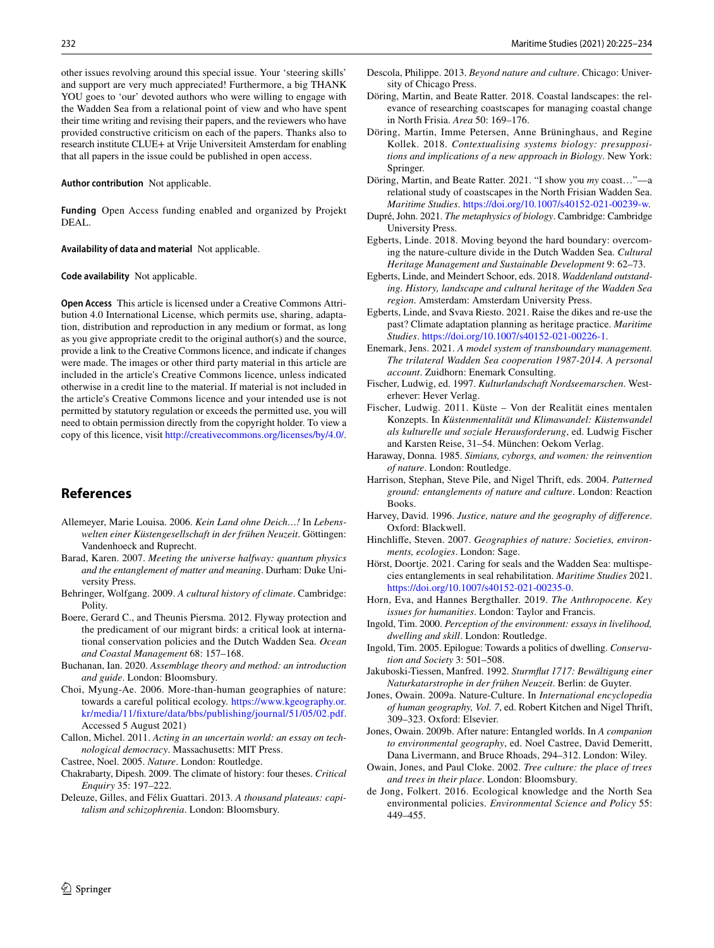other issues revolving around this special issue. Your 'steering skills' and support are very much appreciated! Furthermore, a big THANK YOU goes to 'our' devoted authors who were willing to engage with the Wadden Sea from a relational point of view and who have spent their time writing and revising their papers, and the reviewers who have provided constructive criticism on each of the papers. Thanks also to research institute CLUE+ at Vrije Universiteit Amsterdam for enabling that all papers in the issue could be published in open access.

#### **Author contribution** Not applicable.

**Funding** Open Access funding enabled and organized by Projekt DEAL.

**Availability of data and material** Not applicable.

#### **Code availability** Not applicable.

**Open Access** This article is licensed under a Creative Commons Attribution 4.0 International License, which permits use, sharing, adaptation, distribution and reproduction in any medium or format, as long as you give appropriate credit to the original author(s) and the source, provide a link to the Creative Commons licence, and indicate if changes were made. The images or other third party material in this article are included in the article's Creative Commons licence, unless indicated otherwise in a credit line to the material. If material is not included in the article's Creative Commons licence and your intended use is not permitted by statutory regulation or exceeds the permitted use, you will need to obtain permission directly from the copyright holder. To view a copy of this licence, visit <http://creativecommons.org/licenses/by/4.0/>.

#### **References**

- <span id="page-8-14"></span>Allemeyer, Marie Louisa. 2006. *Kein Land ohne Deich…!* In *Lebenswelten einer Küstengesellschaft in der frühen Neuzeit*. Göttingen: Vandenhoeck and Ruprecht.
- <span id="page-8-10"></span>Barad, Karen. 2007. *Meeting the universe halfway: quantum physics and the entanglement of matter and meaning*. Durham: Duke University Press.
- <span id="page-8-23"></span>Behringer, Wolfgang. 2009. *A cultural history of climate*. Cambridge: Polity.
- <span id="page-8-11"></span>Boere, Gerard C., and Theunis Piersma. 2012. Flyway protection and the predicament of our migrant birds: a critical look at international conservation policies and the Dutch Wadden Sea. *Ocean and Coastal Management* 68: 157–168.
- <span id="page-8-28"></span>Buchanan, Ian. 2020. *Assemblage theory and method: an introduction and guide*. London: Bloomsbury.
- <span id="page-8-9"></span>Choi, Myung-Ae. 2006. More-than-human geographies of nature: towards a careful political ecology. [https://www.kgeography.or.](https://www.kgeography.or.kr/media/11/fixture/data/bbs/publishing/journal/51/05/02.pdf) [kr/media/11/fxture/data/bbs/publishing/journal/51/05/02.pdf](https://www.kgeography.or.kr/media/11/fixture/data/bbs/publishing/journal/51/05/02.pdf). Accessed 5 August 2021)
- <span id="page-8-3"></span>Callon, Michel. 2011. *Acting in an uncertain world: an essay on technological democracy*. Massachusetts: MIT Press.
- <span id="page-8-4"></span>Castree, Noel. 2005. *Nature*. London: Routledge.
- <span id="page-8-25"></span>Chakrabarty, Dipesh. 2009. The climate of history: four theses. *Critical Enquiry* 35: 197–222.
- <span id="page-8-30"></span>Deleuze, Gilles, and Félix Guattari. 2013. *A thousand plateaus: capitalism and schizophrenia*. London: Bloomsbury.
- <span id="page-8-19"></span>Descola, Philippe. 2013. *Beyond nature and culture*. Chicago: University of Chicago Press.
- <span id="page-8-2"></span>Döring, Martin, and Beate Ratter. 2018. Coastal landscapes: the relevance of researching coastscapes for managing coastal change in North Frisia. *Area* 50: 169–176.
- <span id="page-8-21"></span>Döring, Martin, Imme Petersen, Anne Brüninghaus, and Regine Kollek. 2018. *Contextualising systems biology: presuppositions and implications of a new approach in Biology*. New York: Springer.
- <span id="page-8-33"></span>Döring, Martin, and Beate Ratter. 2021. "I show you *my* coast…"—a relational study of coastscapes in the North Frisian Wadden Sea. *Maritime Studies*. [https://doi.org/10.1007/s40152-021-00239-w.](https://doi.org/10.1007/s40152-021-00239-w)
- <span id="page-8-20"></span>Dupré, John. 2021. *The metaphysics of biology*. Cambridge: Cambridge University Press.
- <span id="page-8-1"></span>Egberts, Linde. 2018. Moving beyond the hard boundary: overcoming the nature-culture divide in the Dutch Wadden Sea. *Cultural Heritage Management and Sustainable Development* 9: 62–73.
- <span id="page-8-17"></span>Egberts, Linde, and Meindert Schoor, eds. 2018. *Waddenland outstanding. History, landscape and cultural heritage of the Wadden Sea region*. Amsterdam: Amsterdam University Press.
- <span id="page-8-32"></span>Egberts, Linde, and Svava Riesto. 2021. Raise the dikes and re-use the past? Climate adaptation planning as heritage practice. *Maritime Studies*.<https://doi.org/10.1007/s40152-021-00226-1>.
- <span id="page-8-12"></span>Enemark, Jens. 2021. *A model system of transboundary management. The trilateral Wadden Sea cooperation 1987-2014. A personal account*. Zuidhorn: Enemark Consulting.
- <span id="page-8-16"></span>Fischer, Ludwig, ed. 1997. *Kulturlandschaft Nordseemarschen*. Westerhever: Hever Verlag.
- <span id="page-8-15"></span>Fischer, Ludwig. 2011. Küste – Von der Realität eines mentalen Konzepts. In *Küstenmentalität und Klimawandel: Küstenwandel als kulturelle und soziale Herausforderung*, ed. Ludwig Fischer and Karsten Reise, 31–54. München: Oekom Verlag.
- <span id="page-8-18"></span>Haraway, Donna. 1985. *Simians, cyborgs, and women: the reinvention of nature*. London: Routledge.
- <span id="page-8-26"></span>Harrison, Stephan, Steve Pile, and Nigel Thrift, eds. 2004. *Patterned ground: entanglements of nature and culture*. London: Reaction Books.
- <span id="page-8-6"></span>Harvey, David. 1996. *Justice, nature and the geography of diference*. Oxford: Blackwell.
- <span id="page-8-5"></span>Hinchlife, Steven. 2007. *Geographies of nature: Societies, environments, ecologies*. London: Sage.
- <span id="page-8-31"></span>Hörst, Doortje. 2021. Caring for seals and the Wadden Sea: multispecies entanglements in seal rehabilitation. *Maritime Studies* 2021. <https://doi.org/10.1007/s40152-021-00235-0>.
- <span id="page-8-8"></span>Horn, Eva, and Hannes Bergthaller. 2019. *The Anthropocene. Key issues for humanities*. London: Taylor and Francis.
- <span id="page-8-27"></span>Ingold, Tim. 2000. *Perception of the environment: essays in livelihood, dwelling and skill*. London: Routledge.
- <span id="page-8-24"></span>Ingold, Tim. 2005. Epilogue: Towards a politics of dwelling. *Conservation and Society* 3: 501–508.
- <span id="page-8-13"></span>Jakuboski-Tiessen, Manfred. 1992. *Sturmfut 1717: Bewältigung einer Naturkatarstrophe in der frühen Neuzeit*. Berlin: de Guyter.
- <span id="page-8-0"></span>Jones, Owain. 2009a. Nature-Culture. In *International encyclopedia of human geography, Vol. 7*, ed. Robert Kitchen and Nigel Thrift, 309–323. Oxford: Elsevier.
- <span id="page-8-22"></span>Jones, Owain. 2009b. After nature: Entangled worlds. In *A companion to environmental geography*, ed. Noel Castree, David Demeritt, Dana Livermann, and Bruce Rhoads, 294–312. London: Wiley.
- <span id="page-8-7"></span>Owain, Jones, and Paul Cloke. 2002. *Tree culture: the place of trees and trees in their place*. London: Bloomsbury.
- <span id="page-8-29"></span>de Jong, Folkert. 2016. Ecological knowledge and the North Sea environmental policies. *Environmental Science and Policy* 55: 449–455.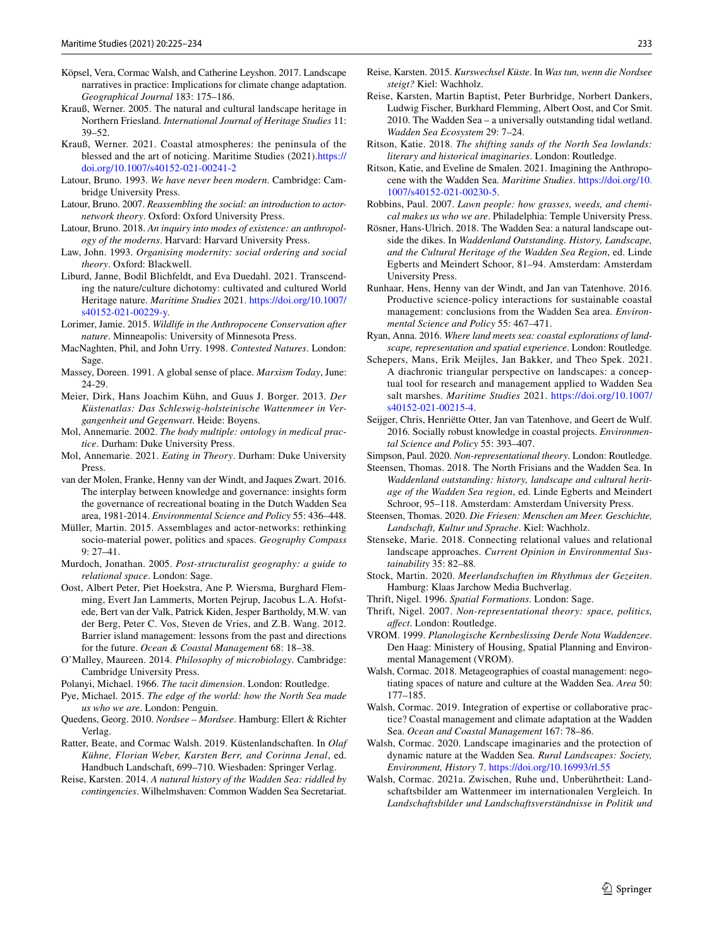- <span id="page-9-36"></span>Köpsel, Vera, Cormac Walsh, and Catherine Leyshon. 2017. Landscape narratives in practice: Implications for climate change adaptation. *Geographical Journal* 183: 175–186.
- <span id="page-9-1"></span>Krauß, Werner. 2005. The natural and cultural landscape heritage in Northern Friesland. *International Journal of Heritage Studies* 11: 39–52.
- <span id="page-9-43"></span>Krauß, Werner. 2021. Coastal atmospheres: the peninsula of the blessed and the art of noticing. Maritime Studies (2021)[.https://](https://doi.org/10.1007/s40152-021-00241-2) [doi.org/10.1007/s40152-021-00241-2](https://doi.org/10.1007/s40152-021-00241-2)
- <span id="page-9-0"></span>Latour, Bruno. 1993. *We have never been modern*. Cambridge: Cambridge University Press.
- <span id="page-9-4"></span>Latour, Bruno. 2007. *Reassembling the social: an introduction to actornetwork theory*. Oxford: Oxford University Press.
- <span id="page-9-33"></span>Latour, Bruno. 2018. *An inquiry into modes of existence: an anthropology of the moderns*. Harvard: Harvard University Press.
- <span id="page-9-5"></span>Law, John. 1993. *Organising modernity: social ordering and social theory*. Oxford: Blackwell.
- <span id="page-9-42"></span>Liburd, Janne, Bodil Blichfeldt, and Eva Duedahl. 2021. Transcending the nature/culture dichotomy: cultivated and cultured World Heritage nature. *Maritime Studies* 2021. [https://doi.org/10.1007/](https://doi.org/10.1007/s40152-021-00229-y) [s40152-021-00229-y](https://doi.org/10.1007/s40152-021-00229-y).
- <span id="page-9-34"></span>Lorimer, Jamie. 2015. *Wildlife in the Anthropocene Conservation after nature*. Minneapolis: University of Minnesota Press.
- <span id="page-9-14"></span>MacNaghten, Phil, and John Urry. 1998. *Contested Natures*. London: Sage.
- <span id="page-9-41"></span>Massey, Doreen. 1991. A global sense of place. *Marxism Today*, June: 24-29.
- <span id="page-9-22"></span>Meier, Dirk, Hans Joachim Kühn, and Guus J. Borger. 2013. *Der Küstenatlas: Das Schleswig-holsteinische Wattenmeer in Vergangenheit und Gegenwart*. Heide: Boyens.
- <span id="page-9-6"></span>Mol, Annemarie. 2002. *The body multiple: ontology in medical practice*. Durham: Duke University Press.
- <span id="page-9-7"></span>Mol, Annemarie. 2021. *Eating in Theory*. Durham: Duke University Press.
- <span id="page-9-38"></span>van der Molen, Franke, Henny van der Windt, and Jaques Zwart. 2016. The interplay between knowledge and governance: insights form the governance of recreational boating in the Dutch Wadden Sea area, 1981-2014. *Environmental Science and Policy* 55: 436–448.
- <span id="page-9-32"></span>Müller, Martin. 2015. Assemblages and actor-networks: rethinking socio-material power, politics and spaces. *Geography Compass* 9: 27–41.
- <span id="page-9-9"></span>Murdoch, Jonathan. 2005. *Post-structuralist geography: a guide to relational space*. London: Sage.
- <span id="page-9-16"></span>Oost, Albert Peter, Piet Hoekstra, Ane P. Wiersma, Burghard Flemming, Evert Jan Lammerts, Morten Pejrup, Jacobus L.A. Hofstede, Bert van der Valk, Patrick Kiden, Jesper Bartholdy, M.W. van der Berg, Peter C. Vos, Steven de Vries, and Z.B. Wang. 2012. Barrier island management: lessons from the past and directions for the future. *Ocean & Coastal Management* 68: 18–38.
- <span id="page-9-31"></span>O'Malley, Maureen. 2014. *Philosophy of microbiology*. Cambridge: Cambridge University Press.
- <span id="page-9-35"></span>Polanyi, Michael. 1966. *The tacit dimension*. London: Routledge.
- <span id="page-9-29"></span>Pye, Michael. 2015. *The edge of the world: how the North Sea made us who we are*. London: Penguin.
- <span id="page-9-23"></span>Quedens, Georg. 2010. *Nordsee – Mordsee*. Hamburg: Ellert & Richter Verlag.
- <span id="page-9-25"></span>Ratter, Beate, and Cormac Walsh. 2019. Küstenlandschaften. In *Olaf Kühne, Florian Weber, Karsten Berr, and Corinna Jenal*, ed. Handbuch Landschaft, 699–710. Wiesbaden: Springer Verlag.
- <span id="page-9-18"></span>Reise, Karsten. 2014. *A natural history of the Wadden Sea: riddled by contingencies*. Wilhelmshaven: Common Wadden Sea Secretariat.
- <span id="page-9-13"></span>Reise, Karsten. 2015. *Kurswechsel Küste*. In *Was tun, wenn die Nordsee steigt?* Kiel: Wachholz.
- <span id="page-9-19"></span>Reise, Karsten, Martin Baptist, Peter Burbridge, Norbert Dankers, Ludwig Fischer, Burkhard Flemming, Albert Oost, and Cor Smit. 2010. The Wadden Sea – a universally outstanding tidal wetland. *Wadden Sea Ecosystem* 29: 7–24.
- <span id="page-9-24"></span>Ritson, Katie. 2018. *The shifting sands of the North Sea lowlands: literary and historical imaginaries*. London: Routledge.
- <span id="page-9-44"></span>Ritson, Katie, and Eveline de Smalen. 2021. Imagining the Anthropocene with the Wadden Sea. *Maritime Studies*. [https://doi.org/10.](https://doi.org/10.1007/s40152-021-00230-5) [1007/s40152-021-00230-5.](https://doi.org/10.1007/s40152-021-00230-5)
- <span id="page-9-10"></span>Robbins, Paul. 2007. *Lawn people: how grasses, weeds, and chemical makes us who we are*. Philadelphia: Temple University Press.
- <span id="page-9-20"></span>Rösner, Hans-Ulrich. 2018. The Wadden Sea: a natural landscape outside the dikes. In *Waddenland Outstanding. History, Landscape, and the Cultural Heritage of the Wadden Sea Region*, ed. Linde Egberts and Meindert Schoor, 81–94. Amsterdam: Amsterdam University Press.
- <span id="page-9-39"></span>Runhaar, Hens, Henny van der Windt, and Jan van Tatenhove. 2016. Productive science-policy interactions for sustainable coastal management: conclusions from the Wadden Sea area. *Environmental Science and Policy* 55: 467–471.
- <span id="page-9-45"></span>Ryan, Anna. 2016. *Where land meets sea: coastal explorations of landscape, representation and spatial experience*. London: Routledge.
- <span id="page-9-17"></span>Schepers, Mans, Erik Meijles, Jan Bakker, and Theo Spek. 2021. A diachronic triangular perspective on landscapes: a conceptual tool for research and management applied to Wadden Sea salt marshes. *Maritime Studies* 2021. [https://doi.org/10.1007/](https://doi.org/10.1007/s40152-021-00215-4) [s40152-021-00215-4](https://doi.org/10.1007/s40152-021-00215-4).
- <span id="page-9-37"></span>Seijger, Chris, Henriëtte Otter, Jan van Tatenhove, and Geert de Wulf. 2016. Socially robust knowledge in coastal projects. *Environmental Science and Policy* 55: 393–407.
- <span id="page-9-40"></span>Simpson, Paul. 2020. *Non-representational theory*. London: Routledge.
- <span id="page-9-26"></span>Steensen, Thomas. 2018. The North Frisians and the Wadden Sea. In *Waddenland outstanding: history, landscape and cultural heritage of the Wadden Sea region*, ed. Linde Egberts and Meindert Schroor, 95–118. Amsterdam: Amsterdam University Press.
- <span id="page-9-27"></span>Steensen, Thomas. 2020. *Die Friesen: Menschen am Meer. Geschichte, Landschaft, Kultur und Sprache*. Kiel: Wachholz.
- <span id="page-9-11"></span>Stenseke, Marie. 2018. Connecting relational values and relational landscape approaches. *Current Opinion in Environmental Sustainability* 35: 82–88.
- <span id="page-9-21"></span>Stock, Martin. 2020. *Meerlandschaften im Rhythmus der Gezeiten*. Hamburg: Klaas Jarchow Media Buchverlag.
- <span id="page-9-15"></span>Thrift, Nigel. 1996. *Spatial Formations*. London: Sage.
- <span id="page-9-8"></span>Thrift, Nigel. 2007. *Non-representational theory: space, politics, afect*. London: Routledge.
- <span id="page-9-30"></span>VROM. 1999. *Planologische Kernbeslissing Derde Nota Waddenzee*. Den Haag: Ministery of Housing, Spatial Planning and Environmental Management (VROM).
- <span id="page-9-2"></span>Walsh, Cormac. 2018. Metageographies of coastal management: negotiating spaces of nature and culture at the Wadden Sea. *Area* 50: 177–185.
- <span id="page-9-12"></span>Walsh, Cormac. 2019. Integration of expertise or collaborative practice? Coastal management and climate adaptation at the Wadden Sea. *Ocean and Coastal Management* 167: 78–86.
- <span id="page-9-28"></span>Walsh, Cormac. 2020. Landscape imaginaries and the protection of dynamic nature at the Wadden Sea. *Rural Landscapes: Society, Environment, History* 7.<https://doi.org/10.16993/rl.55>
- <span id="page-9-3"></span>Walsh, Cormac. 2021a. Zwischen, Ruhe und, Unberührtheit: Landschaftsbilder am Wattenmeer im internationalen Vergleich. In *Landschaftsbilder und Landschaftsverständnisse in Politik und*